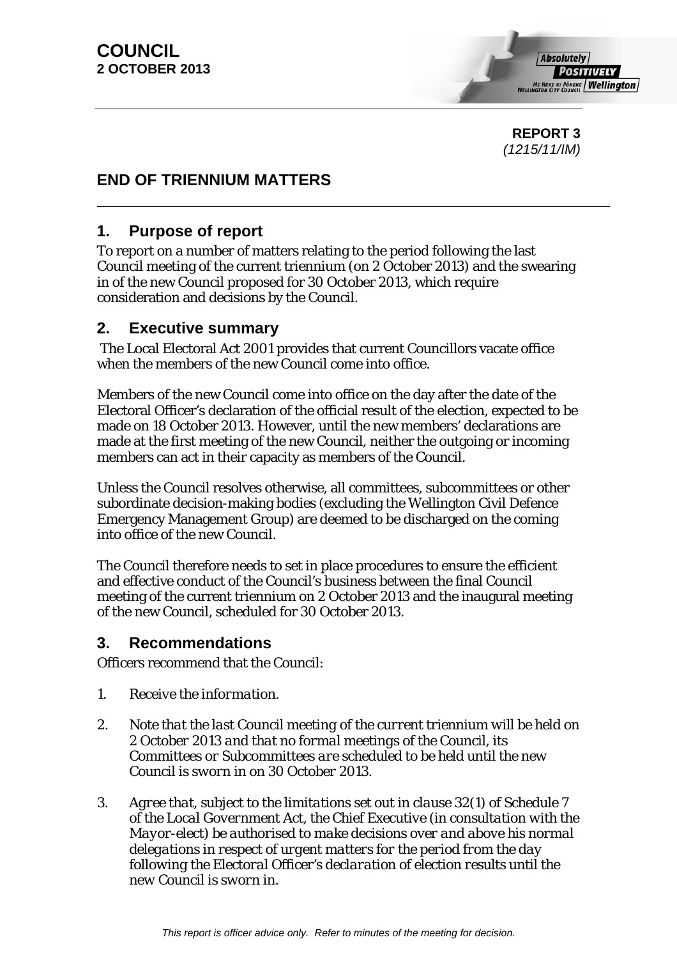**REPORT 3**  *(1215/11/IM)* 

# **END OF TRIENNIUM MATTERS**

# **1. Purpose of report**

To report on a number of matters relating to the period following the last Council meeting of the current triennium (on 2 October 2013) and the swearing in of the new Council proposed for 30 October 2013, which require consideration and decisions by the Council.

# **2. Executive summary**

 The Local Electoral Act 2001 provides that current Councillors vacate office when the members of the new Council come into office.

Members of the new Council come into office on the day after the date of the Electoral Officer's declaration of the official result of the election, expected to be made on 18 October 2013. However, until the new members' declarations are made at the first meeting of the new Council, neither the outgoing or incoming members can act in their capacity as members of the Council.

Unless the Council resolves otherwise, all committees, subcommittees or other subordinate decision-making bodies (excluding the Wellington Civil Defence Emergency Management Group) are deemed to be discharged on the coming into office of the new Council.

The Council therefore needs to set in place procedures to ensure the efficient and effective conduct of the Council's business between the final Council meeting of the current triennium on 2 October 2013 and the inaugural meeting of the new Council, scheduled for 30 October 2013.

# **3. Recommendations**

Officers recommend that the Council:

- *1. Receive the information.*
- *2. Note that the last Council meeting of the current triennium will be held on 2 October 2013 and that no formal meetings of the Council, its Committees or Subcommittees are scheduled to be held until the new Council is sworn in on 30 October 2013.*
- *3. Agree that, subject to the limitations set out in clause 32(1) of Schedule 7 of the Local Government Act, the Chief Executive (in consultation with the Mayor-elect) be authorised to make decisions over and above his normal delegations in respect of urgent matters for the period from the day following the Electoral Officer's declaration of election results until the new Council is sworn in.*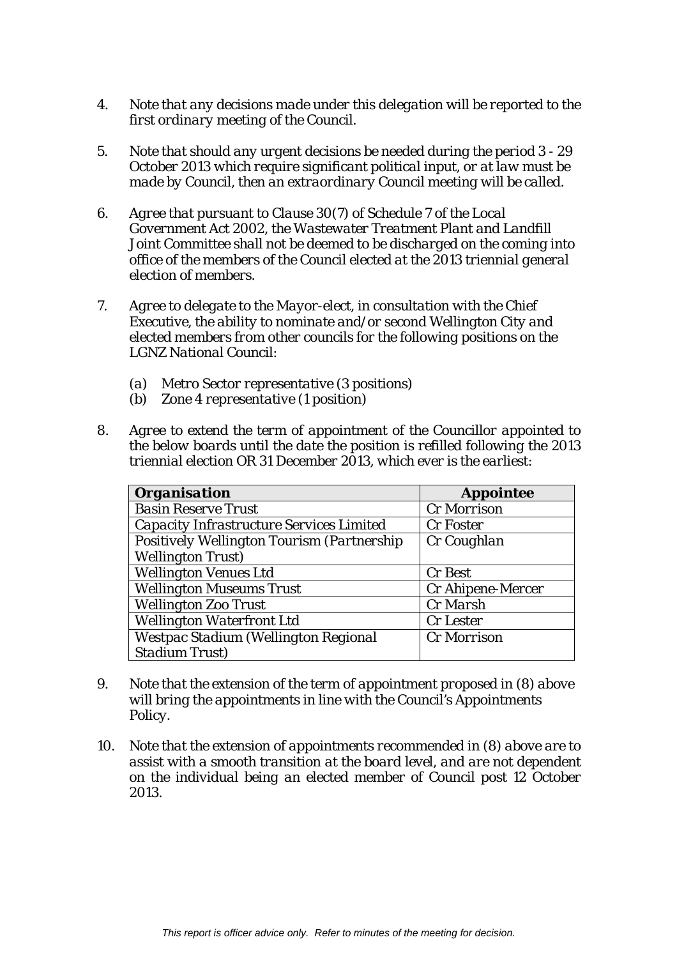- *4. Note that any decisions made under this delegation will be reported to the first ordinary meeting of the Council.*
- *5. Note that should any urgent decisions be needed during the period 3 29 October 2013 which require significant political input, or at law must be made by Council, then an extraordinary Council meeting will be called.*
- *6. Agree that pursuant to Clause 30(7) of Schedule 7 of the Local Government Act 2002, the Wastewater Treatment Plant and Landfill Joint Committee shall not be deemed to be discharged on the coming into office of the members of the Council elected at the 2013 triennial general election of members.*
- *7. Agree to delegate to the Mayor-elect, in consultation with the Chief Executive, the ability to nominate and/or second Wellington City and elected members from other councils for the following positions on the LGNZ National Council:* 
	- *(a) Metro Sector representative (3 positions)*
	- *(b) Zone 4 representative (1 position)*
- *8. Agree to extend the term of appointment of the Councillor appointed to the below boards until the date the position is refilled following the 2013 triennial election OR 31 December 2013, which ever is the earliest:*

| <b>Organisation</b>                        | <b>Appointee</b>  |
|--------------------------------------------|-------------------|
| <b>Basin Reserve Trust</b>                 | Cr Morrison       |
| Capacity Infrastructure Services Limited   | Cr Foster         |
| Positively Wellington Tourism (Partnership | Cr Coughlan       |
| <b>Wellington Trust</b> )                  |                   |
| <b>Wellington Venues Ltd</b>               | Cr Best           |
| <b>Wellington Museums Trust</b>            | Cr Ahipene-Mercer |
| <b>Wellington Zoo Trust</b>                | Cr Marsh          |
| <b>Wellington Waterfront Ltd</b>           | Cr Lester         |
| Westpac Stadium (Wellington Regional       | Cr Morrison       |
| <b>Stadium Trust)</b>                      |                   |

- *9. Note that the extension of the term of appointment proposed in (8) above will bring the appointments in line with the Council's Appointments Policy.*
- *10. Note that the extension of appointments recommended in (8) above are to assist with a smooth transition at the board level, and are not dependent on the individual being an elected member of Council post 12 October 2013.*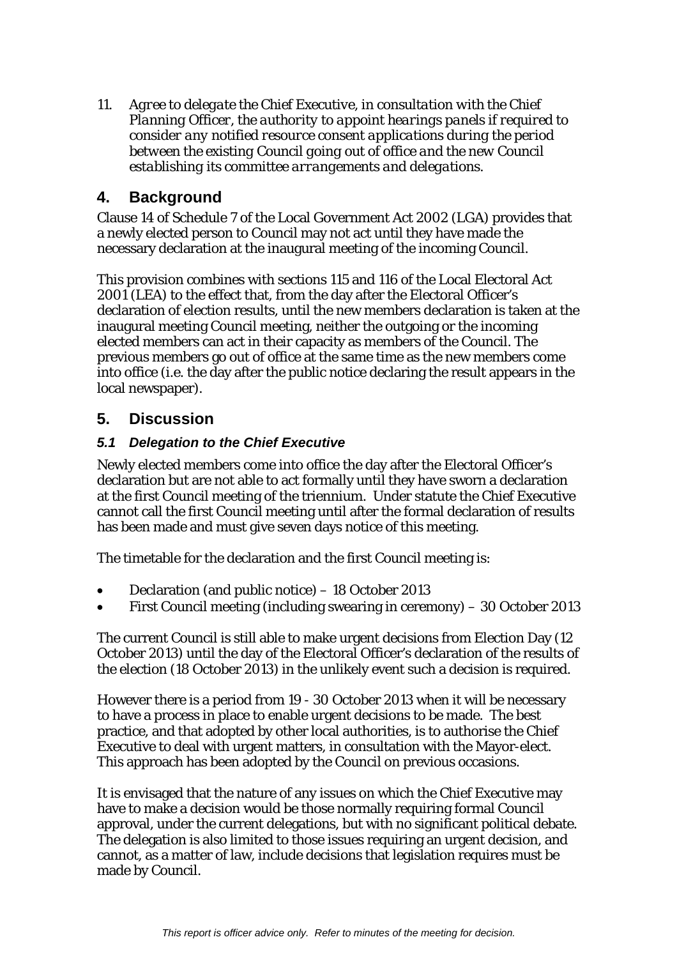*11. Agree to delegate the Chief Executive, in consultation with the Chief Planning Officer, the authority to appoint hearings panels if required to consider any notified resource consent applications during the period between the existing Council going out of office and the new Council establishing its committee arrangements and delegations.* 

# **4. Background**

Clause 14 of Schedule 7 of the Local Government Act 2002 (LGA) provides that a newly elected person to Council may not act until they have made the necessary declaration at the inaugural meeting of the incoming Council.

This provision combines with sections 115 and 116 of the Local Electoral Act 2001 (LEA) to the effect that, from the day after the Electoral Officer's declaration of election results, until the new members declaration is taken at the inaugural meeting Council meeting, neither the outgoing or the incoming elected members can act in their capacity as members of the Council. The previous members go out of office at the same time as the new members come into office (i.e. the day after the public notice declaring the result appears in the local newspaper).

# **5. Discussion**

# *5.1 Delegation to the Chief Executive*

Newly elected members come into office the day after the Electoral Officer's declaration but are not able to act formally until they have sworn a declaration at the first Council meeting of the triennium. Under statute the Chief Executive cannot call the first Council meeting until after the formal declaration of results has been made and must give seven days notice of this meeting.

The timetable for the declaration and the first Council meeting is:

- Declaration (and public notice) 18 October 2013
- First Council meeting (including swearing in ceremony) 30 October 2013

The current Council is still able to make urgent decisions from Election Day (12 October 2013) until the day of the Electoral Officer's declaration of the results of the election (18 October 2013) in the unlikely event such a decision is required.

However there is a period from 19 - 30 October 2013 when it will be necessary to have a process in place to enable urgent decisions to be made. The best practice, and that adopted by other local authorities, is to authorise the Chief Executive to deal with urgent matters, in consultation with the Mayor-elect. This approach has been adopted by the Council on previous occasions.

It is envisaged that the nature of any issues on which the Chief Executive may have to make a decision would be those normally requiring formal Council approval, under the current delegations, but with no significant political debate. The delegation is also limited to those issues requiring an urgent decision, and cannot, as a matter of law, include decisions that legislation requires must be made by Council.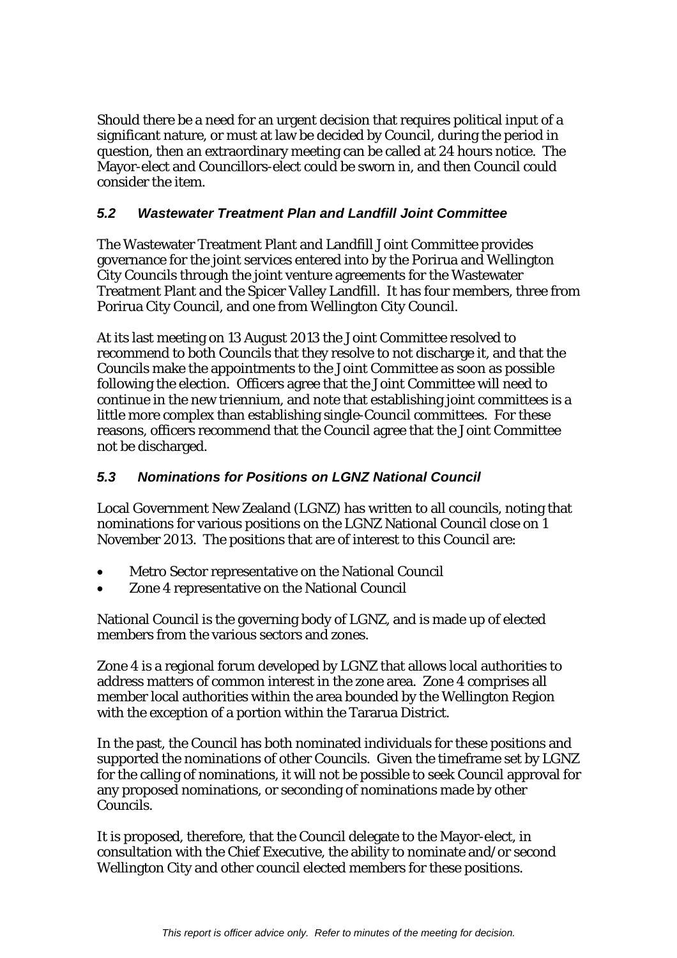Should there be a need for an urgent decision that requires political input of a significant nature, or must at law be decided by Council, during the period in question, then an extraordinary meeting can be called at 24 hours notice. The Mayor-elect and Councillors-elect could be sworn in, and then Council could consider the item.

# *5.2 Wastewater Treatment Plan and Landfill Joint Committee*

The Wastewater Treatment Plant and Landfill Joint Committee provides governance for the joint services entered into by the Porirua and Wellington City Councils through the joint venture agreements for the Wastewater Treatment Plant and the Spicer Valley Landfill. It has four members, three from Porirua City Council, and one from Wellington City Council.

At its last meeting on 13 August 2013 the Joint Committee resolved to recommend to both Councils that they resolve to not discharge it, and that the Councils make the appointments to the Joint Committee as soon as possible following the election. Officers agree that the Joint Committee will need to continue in the new triennium, and note that establishing joint committees is a little more complex than establishing single-Council committees. For these reasons, officers recommend that the Council agree that the Joint Committee not be discharged.

# *5.3 Nominations for Positions on LGNZ National Council*

Local Government New Zealand (LGNZ) has written to all councils, noting that nominations for various positions on the LGNZ National Council close on 1 November 2013. The positions that are of interest to this Council are:

- Metro Sector representative on the National Council
- Zone 4 representative on the National Council

National Council is the governing body of LGNZ, and is made up of elected members from the various sectors and zones.

Zone 4 is a regional forum developed by LGNZ that allows local authorities to address matters of common interest in the zone area. Zone 4 comprises all member local authorities within the area bounded by the Wellington Region with the exception of a portion within the Tararua District.

In the past, the Council has both nominated individuals for these positions and supported the nominations of other Councils. Given the timeframe set by LGNZ for the calling of nominations, it will not be possible to seek Council approval for any proposed nominations, or seconding of nominations made by other Councils.

It is proposed, therefore, that the Council delegate to the Mayor-elect, in consultation with the Chief Executive, the ability to nominate and/or second Wellington City and other council elected members for these positions.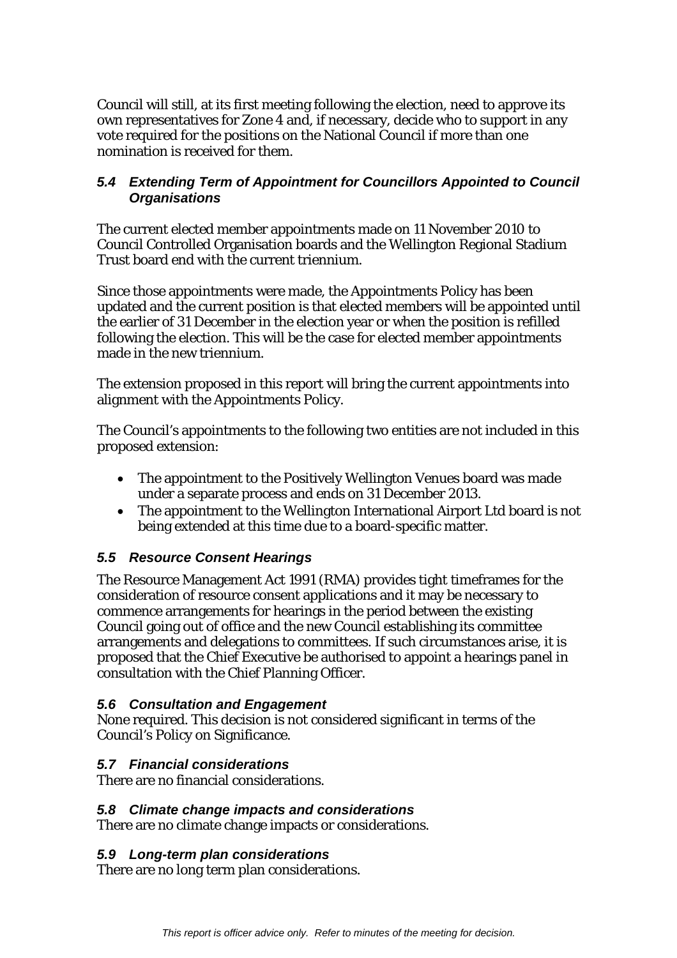Council will still, at its first meeting following the election, need to approve its own representatives for Zone 4 and, if necessary, decide who to support in any vote required for the positions on the National Council if more than one nomination is received for them.

# *5.4 Extending Term of Appointment for Councillors Appointed to Council Organisations*

The current elected member appointments made on 11 November 2010 to Council Controlled Organisation boards and the Wellington Regional Stadium Trust board end with the current triennium.

Since those appointments were made, the Appointments Policy has been updated and the current position is that elected members will be appointed until the earlier of 31 December in the election year or when the position is refilled following the election. This will be the case for elected member appointments made in the new triennium.

The extension proposed in this report will bring the current appointments into alignment with the Appointments Policy.

The Council's appointments to the following two entities are not included in this proposed extension:

- The appointment to the Positively Wellington Venues board was made under a separate process and ends on 31 December 2013.
- The appointment to the Wellington International Airport Ltd board is not being extended at this time due to a board-specific matter.

# *5.5 Resource Consent Hearings*

The Resource Management Act 1991 (RMA) provides tight timeframes for the consideration of resource consent applications and it may be necessary to commence arrangements for hearings in the period between the existing Council going out of office and the new Council establishing its committee arrangements and delegations to committees. If such circumstances arise, it is proposed that the Chief Executive be authorised to appoint a hearings panel in consultation with the Chief Planning Officer.

# *5.6 Consultation and Engagement*

None required. This decision is not considered significant in terms of the Council's Policy on Significance.

# *5.7 Financial considerations*

There are no financial considerations.

#### *5.8 Climate change impacts and considerations*

There are no climate change impacts or considerations.

#### *5.9 Long-term plan considerations*

There are no long term plan considerations.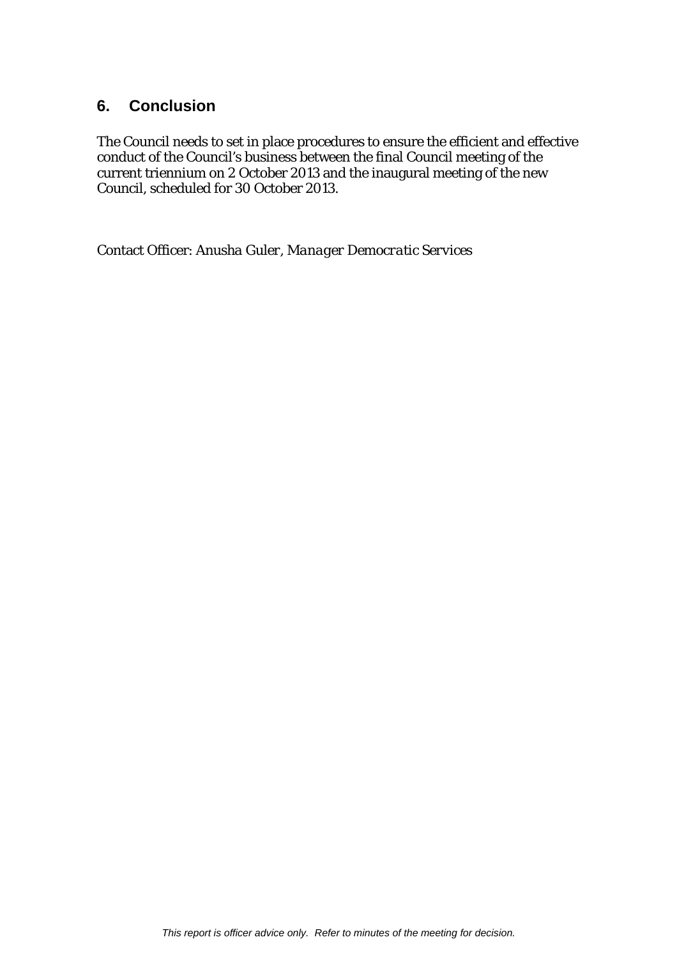# **6. Conclusion**

The Council needs to set in place procedures to ensure the efficient and effective conduct of the Council's business between the final Council meeting of the current triennium on 2 October 2013 and the inaugural meeting of the new Council, scheduled for 30 October 2013.

Contact Officer: *Anusha Guler, Manager Democratic Services*